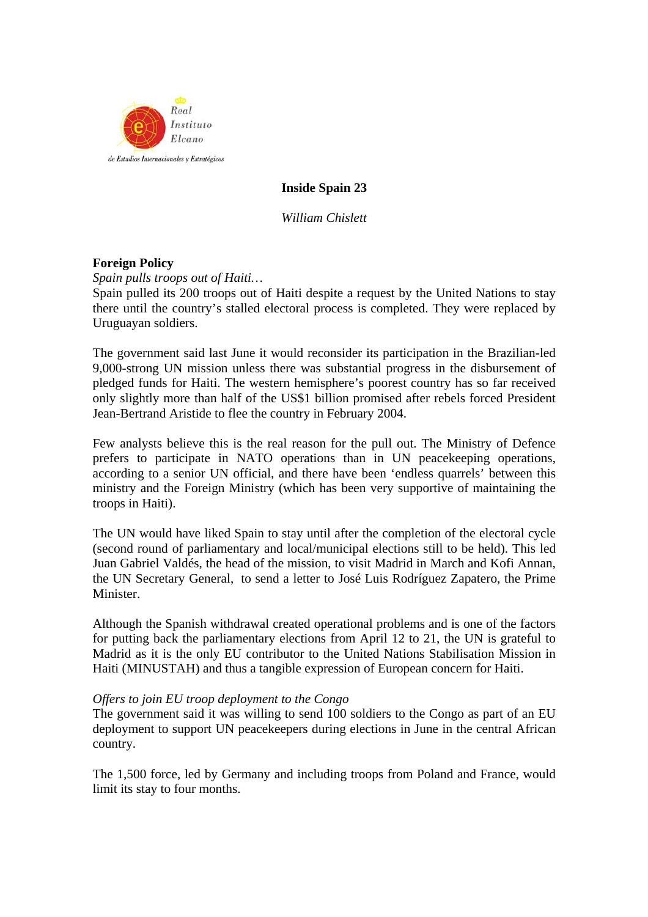

# **Inside Spain 23**

*William Chislett* 

# **Foreign Policy**

*Spain pulls troops out of Haiti…* 

Spain pulled its 200 troops out of Haiti despite a request by the United Nations to stay there until the country's stalled electoral process is completed. They were replaced by Uruguayan soldiers.

The government said last June it would reconsider its participation in the Brazilian-led 9,000-strong UN mission unless there was substantial progress in the disbursement of pledged funds for Haiti. The western hemisphere's poorest country has so far received only slightly more than half of the US\$1 billion promised after rebels forced President Jean-Bertrand Aristide to flee the country in February 2004.

Few analysts believe this is the real reason for the pull out. The Ministry of Defence prefers to participate in NATO operations than in UN peacekeeping operations, according to a senior UN official, and there have been 'endless quarrels' between this ministry and the Foreign Ministry (which has been very supportive of maintaining the troops in Haiti).

The UN would have liked Spain to stay until after the completion of the electoral cycle (second round of parliamentary and local/municipal elections still to be held). This led Juan Gabriel Valdés, the head of the mission, to visit Madrid in March and Kofi Annan, the UN Secretary General, to send a letter to José Luis Rodríguez Zapatero, the Prime Minister.

Although the Spanish withdrawal created operational problems and is one of the factors for putting back the parliamentary elections from April 12 to 21, the UN is grateful to Madrid as it is the only EU contributor to the United Nations Stabilisation Mission in Haiti (MINUSTAH) and thus a tangible expression of European concern for Haiti.

## *Offers to join EU troop deployment to the Congo*

The government said it was willing to send 100 soldiers to the Congo as part of an EU deployment to support UN peacekeepers during elections in June in the central African country.

The 1,500 force, led by Germany and including troops from Poland and France, would limit its stay to four months.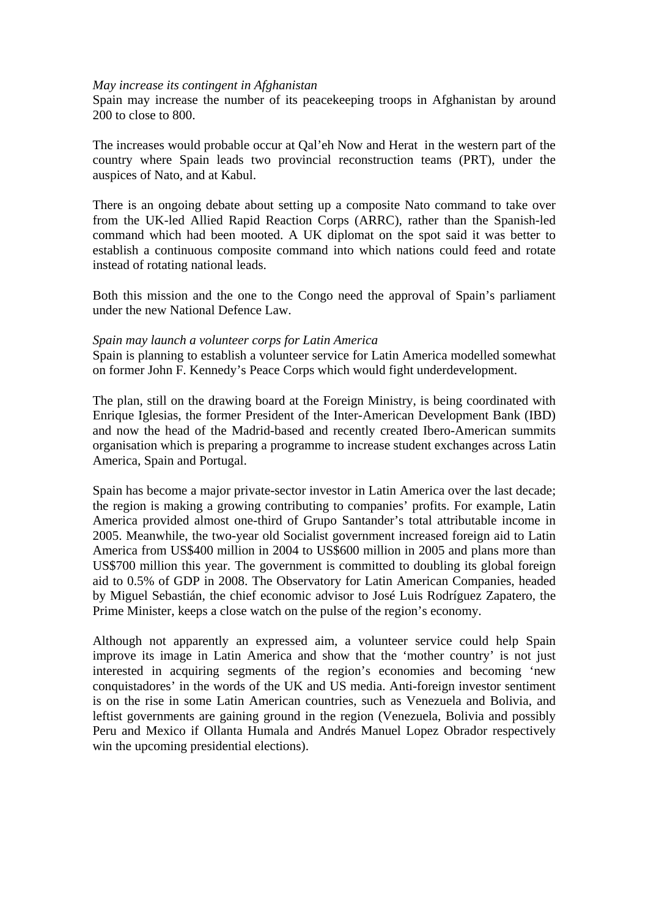#### *May increase its contingent in Afghanistan*

Spain may increase the number of its peacekeeping troops in Afghanistan by around 200 to close to 800.

The increases would probable occur at Qal'eh Now and Herat in the western part of the country where Spain leads two provincial reconstruction teams (PRT), under the auspices of Nato, and at Kabul.

There is an ongoing debate about setting up a composite Nato command to take over from the UK-led Allied Rapid Reaction Corps (ARRC), rather than the Spanish-led command which had been mooted. A UK diplomat on the spot said it was better to establish a continuous composite command into which nations could feed and rotate instead of rotating national leads.

Both this mission and the one to the Congo need the approval of Spain's parliament under the new National Defence Law.

#### *Spain may launch a volunteer corps for Latin America*

Spain is planning to establish a volunteer service for Latin America modelled somewhat on former John F. Kennedy's Peace Corps which would fight underdevelopment.

The plan, still on the drawing board at the Foreign Ministry, is being coordinated with Enrique Iglesias, the former President of the Inter-American Development Bank (IBD) and now the head of the Madrid-based and recently created Ibero-American summits organisation which is preparing a programme to increase student exchanges across Latin America, Spain and Portugal.

Spain has become a major private-sector investor in Latin America over the last decade; the region is making a growing contributing to companies' profits. For example, Latin America provided almost one-third of Grupo Santander's total attributable income in 2005. Meanwhile, the two-year old Socialist government increased foreign aid to Latin America from US\$400 million in 2004 to US\$600 million in 2005 and plans more than US\$700 million this year. The government is committed to doubling its global foreign aid to 0.5% of GDP in 2008. The Observatory for Latin American Companies, headed by Miguel Sebastián, the chief economic advisor to José Luis Rodríguez Zapatero, the Prime Minister, keeps a close watch on the pulse of the region's economy.

Although not apparently an expressed aim, a volunteer service could help Spain improve its image in Latin America and show that the 'mother country' is not just interested in acquiring segments of the region's economies and becoming 'new conquistadores' in the words of the UK and US media. Anti-foreign investor sentiment is on the rise in some Latin American countries, such as Venezuela and Bolivia, and leftist governments are gaining ground in the region (Venezuela, Bolivia and possibly Peru and Mexico if Ollanta Humala and Andrés Manuel Lopez Obrador respectively win the upcoming presidential elections).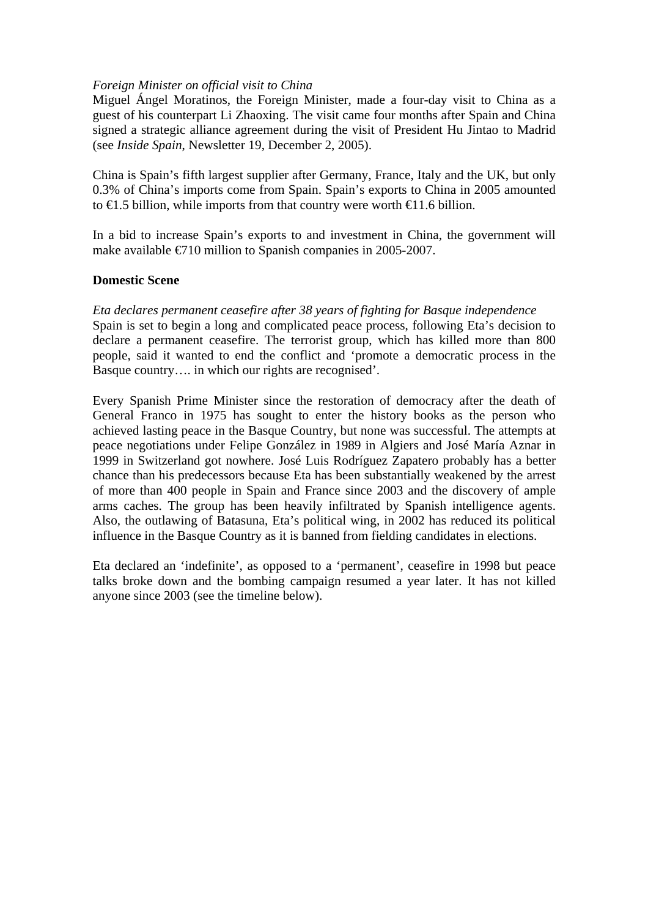## *Foreign Minister on official visit to China*

Miguel Ángel Moratinos, the Foreign Minister, made a four-day visit to China as a guest of his counterpart Li Zhaoxing. The visit came four months after Spain and China signed a strategic alliance agreement during the visit of President Hu Jintao to Madrid (see *Inside Spain*, Newsletter 19, December 2, 2005).

China is Spain's fifth largest supplier after Germany, France, Italy and the UK, but only 0.3% of China's imports come from Spain. Spain's exports to China in 2005 amounted to  $\in$  1.5 billion, while imports from that country were worth  $\in$  1.6 billion.

In a bid to increase Spain's exports to and investment in China, the government will make available  $\epsilon$ 710 million to Spanish companies in 2005-2007.

# **Domestic Scene**

*Eta declares permanent ceasefire after 38 years of fighting for Basque independence*  Spain is set to begin a long and complicated peace process, following Eta's decision to declare a permanent ceasefire. The terrorist group, which has killed more than 800 people, said it wanted to end the conflict and 'promote a democratic process in the Basque country…. in which our rights are recognised'.

Every Spanish Prime Minister since the restoration of democracy after the death of General Franco in 1975 has sought to enter the history books as the person who achieved lasting peace in the Basque Country, but none was successful. The attempts at peace negotiations under Felipe González in 1989 in Algiers and José María Aznar in 1999 in Switzerland got nowhere. José Luis Rodríguez Zapatero probably has a better chance than his predecessors because Eta has been substantially weakened by the arrest of more than 400 people in Spain and France since 2003 and the discovery of ample arms caches. The group has been heavily infiltrated by Spanish intelligence agents. Also, the outlawing of Batasuna, Eta's political wing, in 2002 has reduced its political influence in the Basque Country as it is banned from fielding candidates in elections.

Eta declared an 'indefinite', as opposed to a 'permanent', ceasefire in 1998 but peace talks broke down and the bombing campaign resumed a year later. It has not killed anyone since 2003 (see the timeline below).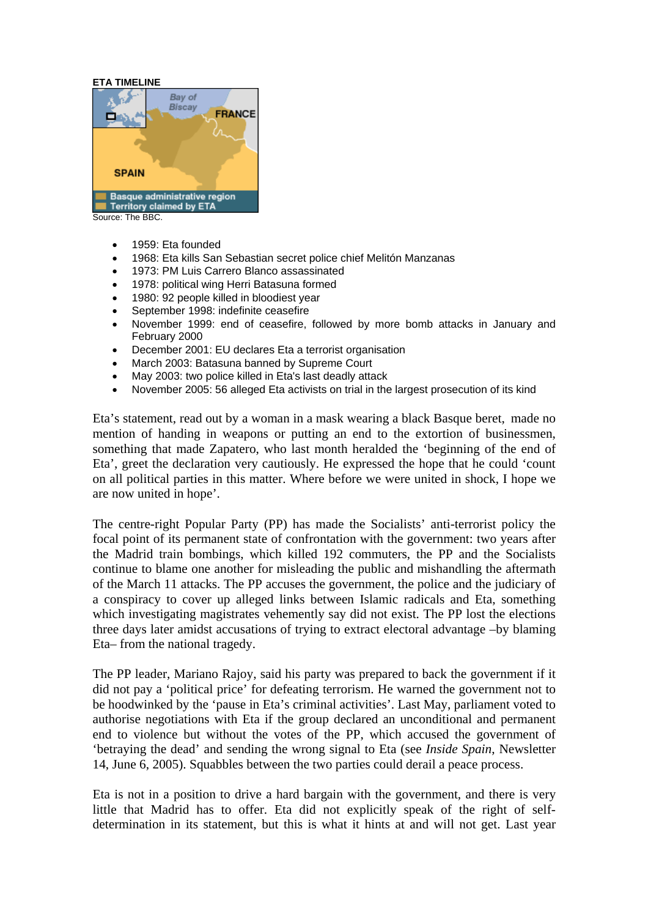#### **ETA TIMELINE**



- - 1959: Eta founded
	- 1968: Eta kills San Sebastian secret police chief Melitón Manzanas
	- 1973: PM Luis Carrero Blanco assassinated
	- 1978: political wing Herri Batasuna formed
	- 1980: 92 people killed in bloodiest year
	- September 1998: indefinite ceasefire
	- November 1999: end of ceasefire, followed by more bomb attacks in January and February 2000
	- December 2001: EU declares Eta a terrorist organisation
	- March 2003: Batasuna banned by Supreme Court
	- May 2003: two police killed in Eta's last deadly attack
	- November 2005: 56 alleged Eta activists on trial in the largest prosecution of its kind

Eta's statement, read out by a woman in a mask wearing a black Basque beret, made no mention of handing in weapons or putting an end to the extortion of businessmen, something that made Zapatero, who last month heralded the 'beginning of the end of Eta', greet the declaration very cautiously. He expressed the hope that he could 'count on all political parties in this matter. Where before we were united in shock, I hope we are now united in hope'.

The centre-right Popular Party (PP) has made the Socialists' anti-terrorist policy the focal point of its permanent state of confrontation with the government: two years after the Madrid train bombings, which killed 192 commuters, the PP and the Socialists continue to blame one another for misleading the public and mishandling the aftermath of the March 11 attacks. The PP accuses the government, the police and the judiciary of a conspiracy to cover up alleged links between Islamic radicals and Eta, something which investigating magistrates vehemently say did not exist. The PP lost the elections three days later amidst accusations of trying to extract electoral advantage –by blaming Eta– from the national tragedy.

The PP leader, Mariano Rajoy, said his party was prepared to back the government if it did not pay a 'political price' for defeating terrorism. He warned the government not to be hoodwinked by the 'pause in Eta's criminal activities'. Last May, parliament voted to authorise negotiations with Eta if the group declared an unconditional and permanent end to violence but without the votes of the PP, which accused the government of 'betraying the dead' and sending the wrong signal to Eta (see *Inside Spain*, Newsletter 14, June 6, 2005). Squabbles between the two parties could derail a peace process.

Eta is not in a position to drive a hard bargain with the government, and there is very little that Madrid has to offer. Eta did not explicitly speak of the right of selfdetermination in its statement, but this is what it hints at and will not get. Last year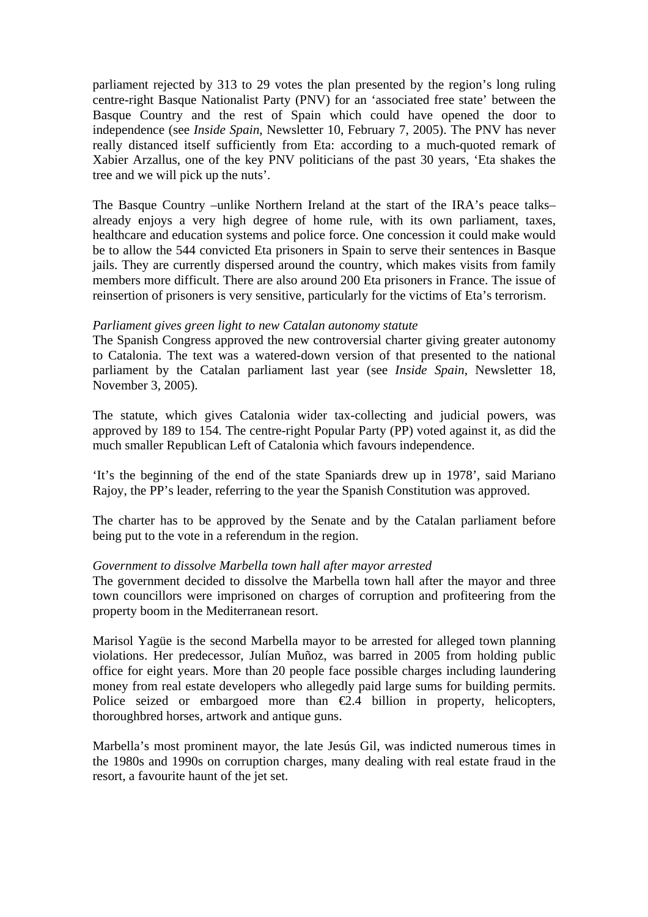parliament rejected by 313 to 29 votes the plan presented by the region's long ruling centre-right Basque Nationalist Party (PNV) for an 'associated free state' between the Basque Country and the rest of Spain which could have opened the door to independence (see *Inside Spain*, Newsletter 10, February 7, 2005). The PNV has never really distanced itself sufficiently from Eta: according to a much-quoted remark of Xabier Arzallus, one of the key PNV politicians of the past 30 years, 'Eta shakes the tree and we will pick up the nuts'.

The Basque Country –unlike Northern Ireland at the start of the IRA's peace talks– already enjoys a very high degree of home rule, with its own parliament, taxes, healthcare and education systems and police force. One concession it could make would be to allow the 544 convicted Eta prisoners in Spain to serve their sentences in Basque jails. They are currently dispersed around the country, which makes visits from family members more difficult. There are also around 200 Eta prisoners in France. The issue of reinsertion of prisoners is very sensitive, particularly for the victims of Eta's terrorism.

## *Parliament gives green light to new Catalan autonomy statute*

The Spanish Congress approved the new controversial charter giving greater autonomy to Catalonia. The text was a watered-down version of that presented to the national parliament by the Catalan parliament last year (see *Inside Spain*, Newsletter 18, November 3, 2005).

The statute, which gives Catalonia wider tax-collecting and judicial powers, was approved by 189 to 154. The centre-right Popular Party (PP) voted against it, as did the much smaller Republican Left of Catalonia which favours independence.

'It's the beginning of the end of the state Spaniards drew up in 1978', said Mariano Rajoy, the PP's leader, referring to the year the Spanish Constitution was approved.

The charter has to be approved by the Senate and by the Catalan parliament before being put to the vote in a referendum in the region.

## *Government to dissolve Marbella town hall after mayor arrested*

The government decided to dissolve the Marbella town hall after the mayor and three town councillors were imprisoned on charges of corruption and profiteering from the property boom in the Mediterranean resort.

Marisol Yagüe is the second Marbella mayor to be arrested for alleged town planning violations. Her predecessor, Julían Muñoz, was barred in 2005 from holding public office for eight years. More than 20 people face possible charges including laundering money from real estate developers who allegedly paid large sums for building permits. Police seized or embargoed more than  $\epsilon$ 2.4 billion in property, helicopters, thoroughbred horses, artwork and antique guns.

Marbella's most prominent mayor, the late Jesús Gil, was indicted numerous times in the 1980s and 1990s on corruption charges, many dealing with real estate fraud in the resort, a favourite haunt of the jet set.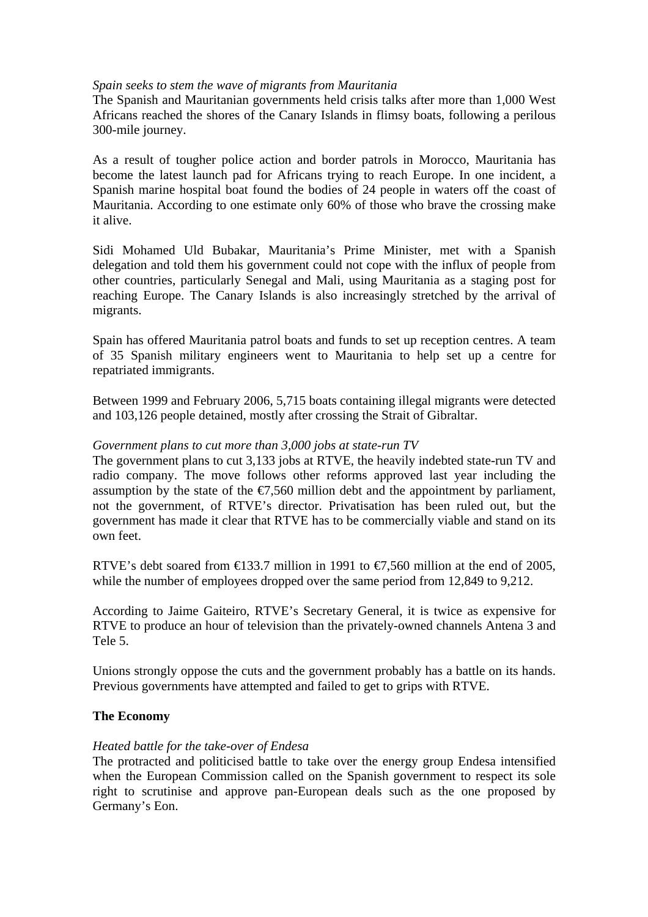## *Spain seeks to stem the wave of migrants from Mauritania*

The Spanish and Mauritanian governments held crisis talks after more than 1,000 West Africans reached the shores of the Canary Islands in flimsy boats, following a perilous 300-mile journey.

As a result of tougher police action and border patrols in Morocco, Mauritania has become the latest launch pad for Africans trying to reach Europe. In one incident, a Spanish marine hospital boat found the bodies of 24 people in waters off the coast of Mauritania. According to one estimate only 60% of those who brave the crossing make it alive.

Sidi Mohamed Uld Bubakar, Mauritania's Prime Minister, met with a Spanish delegation and told them his government could not cope with the influx of people from other countries, particularly Senegal and Mali, using Mauritania as a staging post for reaching Europe. The Canary Islands is also increasingly stretched by the arrival of migrants.

Spain has offered Mauritania patrol boats and funds to set up reception centres. A team of 35 Spanish military engineers went to Mauritania to help set up a centre for repatriated immigrants.

Between 1999 and February 2006, 5,715 boats containing illegal migrants were detected and 103,126 people detained, mostly after crossing the Strait of Gibraltar.

## *Government plans to cut more than 3,000 jobs at state-run TV*

The government plans to cut 3,133 jobs at RTVE, the heavily indebted state-run TV and radio company. The move follows other reforms approved last year including the assumption by the state of the  $\epsilon$ 7,560 million debt and the appointment by parliament, not the government, of RTVE's director. Privatisation has been ruled out, but the government has made it clear that RTVE has to be commercially viable and stand on its own feet.

RTVE's debt soared from  $\text{€}33.7$  million in 1991 to  $\text{€}7,560$  million at the end of 2005, while the number of employees dropped over the same period from 12,849 to 9,212.

According to Jaime Gaiteiro, RTVE's Secretary General, it is twice as expensive for RTVE to produce an hour of television than the privately-owned channels Antena 3 and Tele 5.

Unions strongly oppose the cuts and the government probably has a battle on its hands. Previous governments have attempted and failed to get to grips with RTVE.

## **The Economy**

## *Heated battle for the take-over of Endesa*

The protracted and politicised battle to take over the energy group Endesa intensified when the European Commission called on the Spanish government to respect its sole right to scrutinise and approve pan-European deals such as the one proposed by Germany's Eon.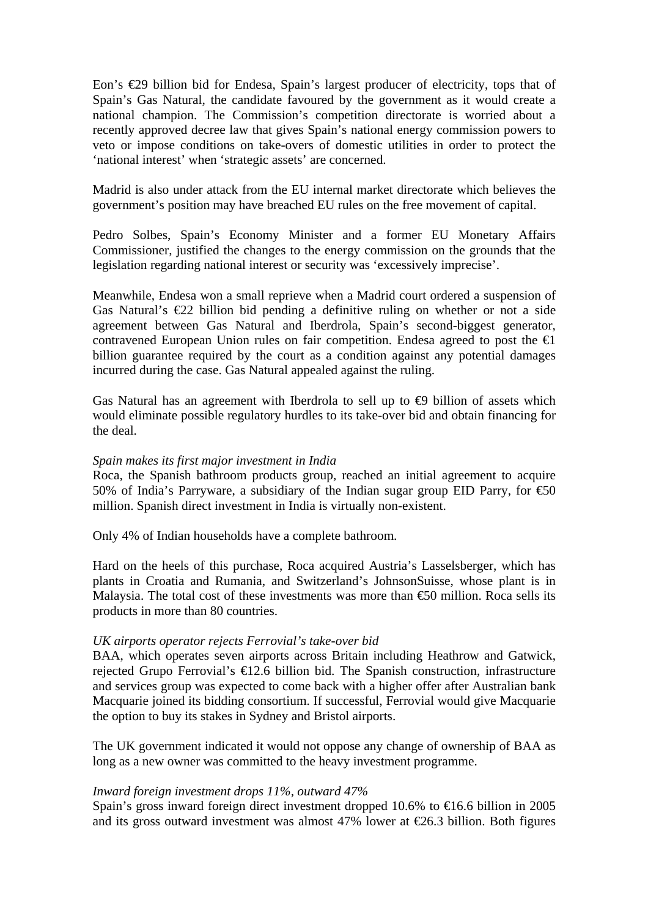Eon's €29 billion bid for Endesa, Spain's largest producer of electricity, tops that of Spain's Gas Natural, the candidate favoured by the government as it would create a national champion. The Commission's competition directorate is worried about a recently approved decree law that gives Spain's national energy commission powers to veto or impose conditions on take-overs of domestic utilities in order to protect the 'national interest' when 'strategic assets' are concerned.

Madrid is also under attack from the EU internal market directorate which believes the government's position may have breached EU rules on the free movement of capital.

Pedro Solbes, Spain's Economy Minister and a former EU Monetary Affairs Commissioner, justified the changes to the energy commission on the grounds that the legislation regarding national interest or security was 'excessively imprecise'.

Meanwhile, Endesa won a small reprieve when a Madrid court ordered a suspension of Gas Natural's  $\epsilon$ 22 billion bid pending a definitive ruling on whether or not a side agreement between Gas Natural and Iberdrola, Spain's second-biggest generator, contravened European Union rules on fair competition. Endesa agreed to post the  $\triangleq$ billion guarantee required by the court as a condition against any potential damages incurred during the case. Gas Natural appealed against the ruling.

Gas Natural has an agreement with Iberdrola to sell up to  $\Theta$  billion of assets which would eliminate possible regulatory hurdles to its take-over bid and obtain financing for the deal.

#### *Spain makes its first major investment in India*

Roca, the Spanish bathroom products group, reached an initial agreement to acquire 50% of India's Parryware, a subsidiary of the Indian sugar group EID Parry, for  $\text{\textsterling}0$ million. Spanish direct investment in India is virtually non-existent.

Only 4% of Indian households have a complete bathroom.

Hard on the heels of this purchase, Roca acquired Austria's Lasselsberger, which has plants in Croatia and Rumania, and Switzerland's JohnsonSuisse, whose plant is in Malaysia. The total cost of these investments was more than  $\epsilon$  = 50 million. Roca sells its products in more than 80 countries.

## *UK airports operator rejects Ferrovial's take-over bid*

BAA, which operates seven airports across Britain including Heathrow and Gatwick, rejected Grupo Ferrovial's €12.6 billion bid. The Spanish construction, infrastructure and services group was expected to come back with a higher offer after Australian bank Macquarie joined its bidding consortium. If successful, Ferrovial would give Macquarie the option to buy its stakes in Sydney and Bristol airports.

The UK government indicated it would not oppose any change of ownership of BAA as long as a new owner was committed to the heavy investment programme.

## *Inward foreign investment drops 11%, outward 47%*

Spain's gross inward foreign direct investment dropped 10.6% to  $\epsilon$ 16.6 billion in 2005 and its gross outward investment was almost 47% lower at  $\epsilon$ 26.3 billion. Both figures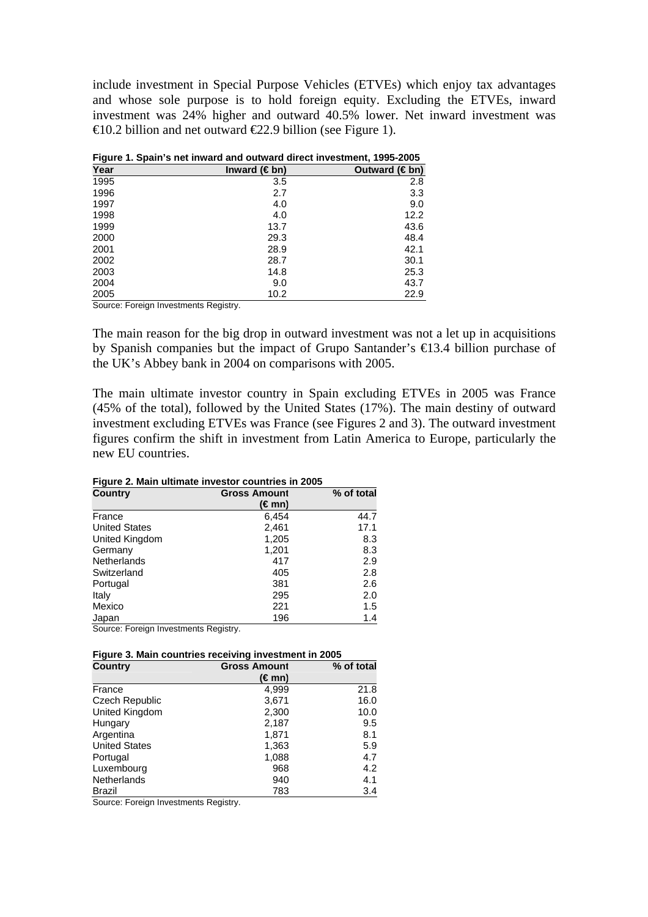include investment in Special Purpose Vehicles (ETVEs) which enjoy tax advantages and whose sole purpose is to hold foreign equity. Excluding the ETVEs, inward investment was 24% higher and outward 40.5% lower. Net inward investment was  $\text{\textsterling}0.2$  billion and net outward  $\text{\textsterling}2.9$  billion (see Figure 1).

| Year | Inward $(\in$ bn) | Outward $(\in$ bn) |
|------|-------------------|--------------------|
| 1995 | 3.5               | 2.8                |
| 1996 | 2.7               | 3.3                |
| 1997 | 4.0               | 9.0                |
| 1998 | 4.0               | 12.2               |
| 1999 | 13.7              | 43.6               |
| 2000 | 29.3              | 48.4               |
| 2001 | 28.9              | 42.1               |
| 2002 | 28.7              | 30.1               |
| 2003 | 14.8              | 25.3               |
| 2004 | 9.0               | 43.7               |
| 2005 | 10.2              | 22.9               |

**Figure 1. Spain's net inward and outward direct investment, 1995-2005** 

Source: Foreign Investments Registry.

The main reason for the big drop in outward investment was not a let up in acquisitions by Spanish companies but the impact of Grupo Santander's €13.4 billion purchase of the UK's Abbey bank in 2004 on comparisons with 2005.

The main ultimate investor country in Spain excluding ETVEs in 2005 was France (45% of the total), followed by the United States (17%). The main destiny of outward investment excluding ETVEs was France (see Figures 2 and 3). The outward investment figures confirm the shift in investment from Latin America to Europe, particularly the new EU countries.

| <b>Figure 2. Main ultimate investor countries in 2005</b> |                     |            |  |  |
|-----------------------------------------------------------|---------------------|------------|--|--|
| <b>Country</b>                                            | <b>Gross Amount</b> | % of total |  |  |
|                                                           | (€mn)               |            |  |  |
| France                                                    | 6,454               | 44.7       |  |  |
| <b>United States</b>                                      | 2,461               | 17.1       |  |  |
| United Kingdom                                            | 1,205               | 8.3        |  |  |
| Germany                                                   | 1,201               | 8.3        |  |  |
| Netherlands                                               | 417                 | 2.9        |  |  |
| Switzerland                                               | 405                 | 2.8        |  |  |
| Portugal                                                  | 381                 | 2.6        |  |  |
| Italy                                                     | 295                 | 2.0        |  |  |
| Mexico                                                    | 221                 | 1.5        |  |  |
| <b>Japan</b>                                              | 196                 | 1.4        |  |  |
| $\overline{\phantom{0}}$                                  |                     |            |  |  |

**Figure 2. Main ultimate investor countries in 2005** 

Source: Foreign Investments Registry.

| <b>Country</b>        | <b>Gross Amount</b> | % of total |
|-----------------------|---------------------|------------|
|                       | (€mn)               |            |
| France                | 4,999               | 21.8       |
| <b>Czech Republic</b> | 3,671               | 16.0       |
| United Kingdom        | 2,300               | 10.0       |
| Hungary               | 2,187               | 9.5        |
| Argentina             | 1,871               | 8.1        |
| <b>United States</b>  | 1,363               | 5.9        |
| Portugal              | 1,088               | 4.7        |
| Luxembourg            | 968                 | 4.2        |
| Netherlands           | 940                 | 4.1        |
| Brazil                | 783                 | 3.4        |

Source: Foreign Investments Registry.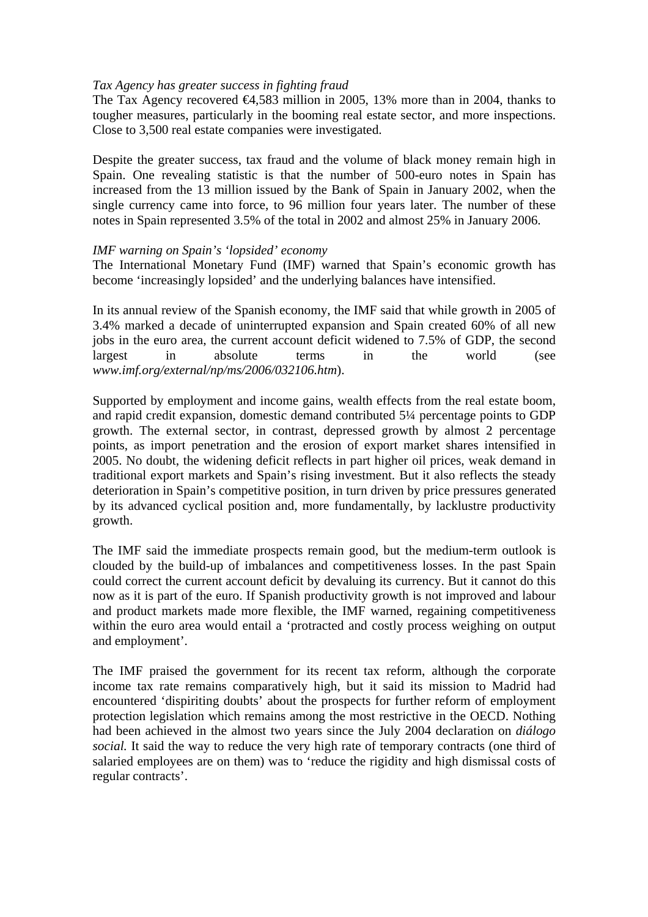## *Tax Agency has greater success in fighting fraud*

The Tax Agency recovered  $\epsilon 4,583$  million in 2005, 13% more than in 2004, thanks to tougher measures, particularly in the booming real estate sector, and more inspections. Close to 3,500 real estate companies were investigated.

Despite the greater success, tax fraud and the volume of black money remain high in Spain. One revealing statistic is that the number of 500-euro notes in Spain has increased from the 13 million issued by the Bank of Spain in January 2002, when the single currency came into force, to 96 million four years later. The number of these notes in Spain represented 3.5% of the total in 2002 and almost 25% in January 2006.

#### *IMF warning on Spain's 'lopsided' economy*

The International Monetary Fund (IMF) warned that Spain's economic growth has become 'increasingly lopsided' and the underlying balances have intensified.

In its annual review of the Spanish economy, the IMF said that while growth in 2005 of 3.4% marked a decade of uninterrupted expansion and Spain created 60% of all new jobs in the euro area, the current account deficit widened to 7.5% of GDP, the second largest in absolute terms in the world (see *www.imf.org/external/np/ms/2006/032106.htm*).

Supported by employment and income gains, wealth effects from the real estate boom, and rapid credit expansion, domestic demand contributed 5¼ percentage points to GDP growth. The external sector, in contrast, depressed growth by almost 2 percentage points, as import penetration and the erosion of export market shares intensified in 2005. No doubt, the widening deficit reflects in part higher oil prices, weak demand in traditional export markets and Spain's rising investment. But it also reflects the steady deterioration in Spain's competitive position, in turn driven by price pressures generated by its advanced cyclical position and, more fundamentally, by lacklustre productivity growth.

The IMF said the immediate prospects remain good, but the medium-term outlook is clouded by the build-up of imbalances and competitiveness losses. In the past Spain could correct the current account deficit by devaluing its currency. But it cannot do this now as it is part of the euro. If Spanish productivity growth is not improved and labour and product markets made more flexible, the IMF warned, regaining competitiveness within the euro area would entail a 'protracted and costly process weighing on output and employment'.

The IMF praised the government for its recent tax reform, although the corporate income tax rate remains comparatively high, but it said its mission to Madrid had encountered 'dispiriting doubts' about the prospects for further reform of employment protection legislation which remains among the most restrictive in the OECD. Nothing had been achieved in the almost two years since the July 2004 declaration on *diálogo social.* It said the way to reduce the very high rate of temporary contracts (one third of salaried employees are on them) was to 'reduce the rigidity and high dismissal costs of regular contracts'.